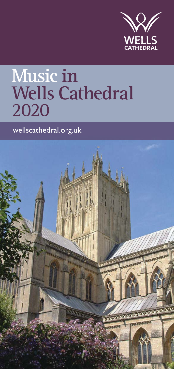

# **Music in Wells Cathedral** 2020

wellscathedral.org.uk

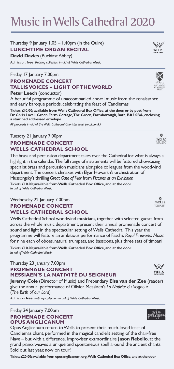**Music inWellsCathedral 2020**

### Thursday 9 January 1.05 – 1.40pm (in the Quire) **LUNCHTIME ORGAN RECITAL David Davies** (Buckfast Abbey)

Admission: **free** *Retiring collection in aid of Wells Cathedral Music*

## Friday 17 January 7.00pm **PROMENADE CONCERT TALLIS VOICES – LIGHT OF THE WORLD**

**Peter Leech** (conductor)

A beautiful programme of unaccompanied choral music from the renaissance and early baroque periods, celebrating the feast of Candlemas

Tickets: **£10.00; available from Wells Cathedral Box Office, at the door, or by post from Dr Chris Lovell, Green Farm Cottage, The Green, Farmborough, Bath, BA2 0BA, enclosing a stamped addressed envelope** 

*All proceeds in aid of the Wells Cathedral Chorister Trust (wcct.co.uk)*

## Tuesday 21 January 7.00pm **PROMENADE CONCERT WELLS CATHEDRAL SCHOOL**

The brass and percussion department takes over the Cathedral for what is always a highlight in the calendar. The full range of instruments will be featured, showcasing specialist brass and percussion musicians alongside colleagues from the woodwind department. The concert climaxes with Elgar Howarth's orchestration of Mussorgsky's thrilling *Great Gate of Kiev* from *Pictures at an Exhibition* Tickets: **£10.00; available from Wells Cathedral Box Office, and at the door** *In aid of Wells Cathedral Music*

## Wednesday 22 January 7.00pm **PROMENADE CONCERT WELLS CATHEDRAL SCHOOL**

Wells Cathedral School woodwind musicians, together with selected guests from across the whole music department, present their annual promenade concert of sound and light in the spectacular setting of Wells Cathedral. This year the programme will feature an ambitious performance of Fasch's *Royal Fireworks Music* for nine each of oboes, natural trumpets, and bassoons, plus three sets of timpani

Tickets: **£10.00; available from Wells Cathedral Box Office, and at the door** *In aid of Wells Cathedral Music*

## Thursday 23 January 7.00pm **PROMENADE CONCERT MESSIAEN'S LA NATIVITÉ DU SEIGNEUR**

**Jeremy Cole** (Director of Music) and Prebendary **Elsa van der Zee** (reader) give the annual performance of Olivier Messiaen's *La Nativité du Seigneur* (*The Birth of our Lord*)

Admisson: **free** *Retiring collection in aid of Wells Cathedral Music*

## Friday 24 January 7.00pm **PROMENADE CONCERT OPUS ANGLICANUM**

Opus Anglicanum return to Wells to present their much-loved feast of Candlemas chant, performed in the magical candlelit setting of the chair-free Nave – but with a difference. Improviser extraordinaire **Jason Rebello**, at the grand piano, weaves a unique and spontaneous spell around the ancient chants. Sold out last year, now on tour!

Tickets: **£20.00; available from opusanglicanum.org,Wells Cathedral Box Office, and at the door**

## makim

Ņ WELLS

陾 WELLS MISI



 $\mathbb{W}$ WELLS





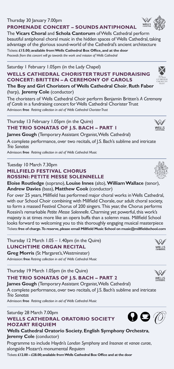#### Thursday 30 January 7.00pm **PROMENADE CONCERT – SOUNDS ANTIPHONAL**

The **Vicars Choral** and **Schola Cantorum** of Wells Cathedral perform beautiful antiphonal choral music in the hidden spaces of Wells Cathedral, taking advantage of the glorious sound-world of the Cathedral's ancient architecture

Tickets: **£15.00; available from Wells Cathedral Box Office, and at the door** *Proceeds from this concert will go towards the work and mission of Wells Cathedral*

## Saturday 1 February 1.05pm (in the Lady Chapel) **WELLS CATHEDRAL CHORISTER TRUST FUNDRAISING CONCERT: BRITTEN – A CEREMONY OF CAROLS**

**The Boy and Girl Choristers of Wells Cathedral Choir**, **Ruth Faber** (harp), **Jeremy Cole** (conductor)

The choristers of Wells Cathedral Choir perform Benjamin Britten's *A Ceremony of Carols* in a fundraising concert for Wells Cathedral Chorister Trust Admisson: **free** *Retiring collection in aid of Wells Cathedral Chorister Trust*

## Thursday 13 February 1.05pm (in the Quire) **THE TRIO SONATAS OF J.S. BACH – PART 1**

**James Gough** (Temporary Assistant Organist, Wells Cathedral)

A complete performance, over two recitals, of J.S. Bach's sublime and intricate *Trio Sonatas*

Admisson: **free** *Retiring collection in aid of Wells Cathedral Music*

## Tuesday 10 March 7.30pm **MILLFIELD FESTIVAL CHORUS ROSSINI: PETITE MESSE SOLENNELLE**

**Eloise Routledge** (soprano), **Louise Innes** (alto), **William Wallace** (tenor), **Andrew Davies** (bass), **Matthew Cook** (conductor)

For over 25 years, Millfield has performed major choral works in Wells Cathedral, with our School Choir combining with Millfield Chorale, our adult choral society, to form a massed Festival Chorus of 200 singers. This year, the Chorus performs Rossini's remarkable *Petite Messe Solennelle*. Charming yet powerful, this work's majesty is at times more like an opera buffa than a solemn mass. Millfield School looks forward to welcoming you to this thoroughly engaging musical masterpiece Tickets: **free of charge.To reserve, please email Millfield Music School on music@millfieldschool.com**

Thursday 12 March 1.05 – 1.40pm (in the Quire) **LUNCHTIME ORGAN RECITAL**

**Greg Morris** (St Margaret's, Westminster) Admission: **free** *Retiring collection in aid of Wells Cathedral Music*

Thursday 19 March 1.05pm (in the Quire) **THE TRIO SONATAS OF J.S. BACH – PART 2** 

**James Gough** (Temporary Assistant Organist, Wells Cathedral) A complete performance, over two recitals, of J.S. Bach's sublime and intricate *Trio Sonatas*

Admisson: **free** *Retiring collection in aid of Wells Cathedral Music*

## Saturday 28 March 7.00pm **WELLS CATHEDRAL ORATORIO SOCIETY MOZART REQUIEM**

**Wells Cathedral Oratorio Society**, **English Symphony Orchestra**, **Jeremy Cole** (conductor)

Programme to include Haydn's *London Symphony* and *Insanae et vanae curae*, alongside Mozart's monumental *Requiem* 

Tickets: **£12.00 – £28.00; available from Wells Cathedral Box Office and at the door**











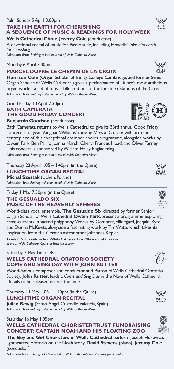## Palm Sunday 5 April 3.00pm **TAKE HIM EARTH FOR CHERISHING A SEQUENCE OF MUSIC & READINGS FOR HOLY WEEK**

**Wells Cathedral Choir**, **Jeremy Cole** (conductor)

A devotional recital of music for Passiontide, including Howells' *Take him earth for cherishing*

Admisson: **free** *Retiring collection in aid of Wells Cathedral Music*

#### Monday 6 April 7.30pm

### **MARCEL DUPRÉ: LE CHEMIN DE LA CROIX**

**Harrison Cole** (Organ Scholar of Trinity College Cambridge, and former Senior Organ Scholar of Wells Cathedral) gives a performance of Dupré's most ambitious organ work – a set of musical illustrations of the fourteen Stations of the Cross Admission: **free** *Retiring collection in aid of Wells Cathedral Music*

Good Friday 10 April 7.30pm **BATH CAMERATA THE GOOD FRIDAY CONCERT Benjamin Goodson** (conductor)

Bath Camerata returns to Wells Cathedral to give its 33rd annual Good Friday concert.This year, Vaughan Williams' moving *Mass in G minor* will form the centrepiece of this exceptional chamber choir's programme, alongside works by Owain Park, Ben Parry, Joanna Marsh, Cheryl Frances Hoad, and Oliver Tarney. This concert is sponsored by William Haley Engineering

Admission: **free** *Retiring collection in aid of Wells Cathedral Music*

Thursday 23 April 1.05 – 1.40pm (in the Quire) **LUNCHTIME ORGAN RECITAL Michał Szostak** (Lichen, Poland) Admission: **free** *Retiring collection in aid of Wells Cathedral Music*

## Friday 1 May 7.30pm (in the Quire) **THE GESUALDO SIX MUSIC OF THE HEAVENLY SPHERES**

World-class vocal ensemble, **The Gesualdo Six**, directed by former Senior Organ Scholar of Wells Cathedral, **Owain Park**, present a programme exploring cross-currents in sacred polyphony.Works by Gombert, Hildegard, Josquin, Byrd, and Donna McKevitt, alongside a fascinating work by Tim Watts which takes its inspiration from the German astronomer, Johannes Kepler

Tickets: **£15.00; available from Wells Cathedral Box Office and at the door** *In aid of Wells Cathedral Chorister Trust (wcct.co.uk)*

### Saturday 2 May Time TBC **WELLS CATHEDRAL ORATORIO SOCIETY COME AND SING DAY WITH JOHN RUTTER**

World-famous composer and conductor, and Patron of Wells Cathedral Oratorio Society, **John Rutter**, leads a *Come and Sing Day* in the Nave of Wells Cathedral. Details to be released nearer the time

Thursday 14 May 1.05 – 1.40pm (in the Quire) **LUNCHTIME ORGAN RECITAL**

**Julian Bewig** (Santo Ángel Custodio, Valencia, Spain) Admission: **free** *Retiring collection in aid of Wells Cathedral Music*

## Saturday 16 May 1.05pm **WELLS CATHEDRAL CHORISTER TRUST FUNDRAISING CONCERT: CAPTAIN NOAH AND HIS FLOATING ZOO**

**The Boy and Girl Choristers of Wells Cathedral** perform Joseph Horovitz's lighthearted oratorio on the Noah story. **David Stevens** (piano), **Jeremy Cole** (conductor)

Admisson: **free** *Retiring collection in aid of Wells Cathedral Chorister Trust (wcct.co.uk)*















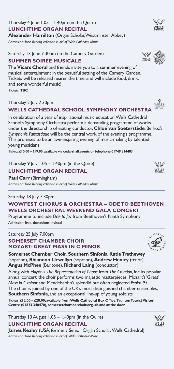Thursday 4 Iune  $1.05 - 1.40$ pm (in the Ouire) **Alexander Hamilton** (Organ Scholar, Westminster Abbey)

Admission: **free** *Retiring collection in aid of Wells Cathedral Music*

Saturday 13 June 7.30pm (in the Camery Garden)

## **SUMMER SOIRÉE MUSICALE**

The **Vicars Choral** and friends invite you to a summer evening of musical entertainment in the beautiful setting of the Camery Garden. Tickets will be released nearer the time, and will include food, drink, and some wonderful music!

Tickets: **TBC**

## Thursday 2 July 7.30pm

## **WELLS CATHEDRAL SCHOOL SYMPHONY ORCHESTRA**

In celebration of a year of inspirational music education, Wells Cathedral School's Symphony Orchestra perform a demanding programme of works under the directorship of visiting conductor, **Chloé van Soeterstède**. Berlioz's *Symphonie Fantastique* will be the central work of the evening's programme. This promises to be an awe-inspiring evening of music-making by talented young musicians

Tickets: **£10.00 – £19.00; available via cedarshall.events or telephone 01749 834483**

Thursday 9 July 1.05 – 1.40pm (in the Quire)

## **LUNCHTIME ORGAN RECITAL**

**Paul Carr** (Birmingham) Admission: **free** *Retiring collection in aid of Wells Cathedral Music*

## Saturday 18 July 7.30pm **WOWFEST CHORUS & ORCHESTRA – ODE TO BEETHOVEN WELLS ORCHESTRAL WEEKEND GALA CONCERT**

Programme to include *Ode to Joy* from Beethoven's Ninth Symphony Admission: **free, donations invited**

## Saturday 25 July 7.00pm **SOMERSET CHAMBER CHOIR MOZART: GREAT MASS IN C MINOR**

**Somerset Chamber Choir**, **Southern Sinfonia**, **Katie Trethewey** (soprano), **Rhiannon Llewellyn** (soprano), **Andrew Henley** (tenor), **Angus McPhee** (Baritone), **Richard Laing** (conductor)

Along with Haydn's *The Representation of Chaos* from *The Creation*, for its popular annual concert, the choir performs two majestic masterpieces; Mozart's 'Great' *Mass in C minor* and Mendelssohn's splendid but often neglected *Psalm 95*. The choir is joined by one of the UK's most distinguished chamber ensembles, **Southern Sinfonia**, and an exceptional line-up of young soloists

Tickets: **£12.00 – £28.00; available from Wells Cathedral Box Office, Taunton Tourist Visitor Centre (01823 340470), somersetchamberchoir.org.uk, and at the door**

Thursday 13 August 1.05 – 1.40pm (in the Quire) **LUNCHTIME ORGAN RECITAL**

**James Kealey** (USA, formerly Senior Organ Scholar, Wells Cathedral) Admission: **free** *Retiring collection in aid of Wells Cathedral Music*

## **LUNCHTIME ORGAN RECITAL**















 $\mathbb{Q}/$ WELLS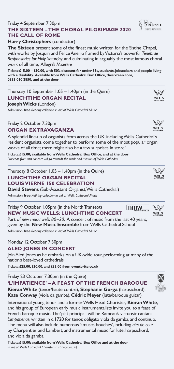## Friday 4 September 7.30pm **THE SIXTEEN – THE CHORAL PILGRIMAGE 2020 THE CALL OF ROME**

### **Harry Christophers** (conductor)

**The Sixteen** present some of the finest music written for the Sistine Chapel, with works by Josquin and Felice Anerio framed by Victoria's powerful *Tenebrae Responsories for Holy Saturday*, and culminating in arguably the most famous choral work of all time, Allegri's *Miserere*

Tickets: **£15.00 – £30.00, with 50% discount for under-35s, students, jobseekers and people living with a disability. Available from Wells Cathedral Box Office, thesixteen.com, 0333 010 2850, and at the door**

## Thursday 10 September 1.05 – 1.40pm (in the Quire) **LUNCHTIME ORGAN RECITAL**

### **Joseph Wicks** (London)

Admission: **free** *Retiring collection in aid of Wells Cathedral Music*

## Friday 2 October 7.30pm

## **ORGAN EXTRAVAGANZA**

A splendid line-up of organists from across the UK, including Wells Cathedral's resident organists, come together to perform some of the most popular organ works of all time; there might also be a few surprises in store!

Tickets: **£15.00; available from Wells Cathedral Box Office, and at the door**  *Proceeds from this concert will go towards the work and mission of Wells Cathedral*

Thursday 8 October 1.05 – 1.40pm (in the Quire) **LUNCHTIME ORGAN RECITAL LOUIS VIERNE 150 CELEBRATION**

**David Stevens** (Sub-Assistant Organist, Wells Cathedral) Admission: **free** *Retiring collection in aid of Wells Cathedral Music*

#### Friday 9 October 1.05pm (in the North Transept) nmw **NEW MUSIC WELLS: LUNCHTIME CONCERT**

Part of *new music wells 80–20*. A concert of music from the last 40 years, given by the **New Music Ensemble** from Wells Cathedral School

Admission: **free** *Retiring collection in aid of Wells Cathedral Music*

### Monday 12 October 7.30pm **ALED JONES IN CONCERT**

Join Aled Jones as he embarks on a UK-wide tour, performing at many of the nation's best-loved cathedrals

Tickets: **£25.00, £30.00, and £35.00 from eventbrite.co.uk**

Friday 23 October 7.30pm (in the Quire)

**'L'IMPATIENCE' – A FEAST OF THE FRENCH BAROQUE**

**Kieran White** (tenor/haute contre), **Stephanie Gurga** (harpsichord), **Kate Conway** (viola da gamba), **Cédric Meyer** (lute/baroque guitar)

International young tenor and a former Wells Head Chorister, **Kieran White**, and his group of European early music instrumentalists invite you to a feast of French baroque music. The 'plat principal' will be Rameau's virtuosic cantata *L'impatience*, written in c.1720 for tenor, obligato viola da gamba, and continuo. The menu will also include numerous 'amuses bouches', including *airs de cour* by Charpentier and Lambert, and instrumental music for lute, harpsichord, and viola da gamba

Tickets: **£15.00; available from Wells Cathedral Box Office and at the door** *In aid of Wells Cathedral Chorister Trust (wcct.co.uk)*









\\X/



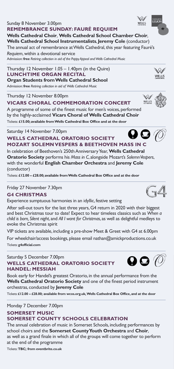Tickets: **TBC; from eventbrite.co.uk**

#### Sunday 8 November 3.00pm **REMEMBRANCE SUNDAY: FAURÉ REQUIEM**

**Wells Cathedral Choir**, **Wells Cathedral School Chamber Choir**, **Wells Cathedral School Instrumentalists**, **Jeremy Cole** (conductor)

The annual act of remembrance at Wells Cathedral, this year featuring Fauré's *Requiem*, within a devotional service

Admission: **free** *Retiring collection in aid of the Poppy Appeal andWells Cathedral Music*

Thursday 12 November 1.05 – 1.40pm (in the Quire) **LUNCHTIME ORGAN RECITAL Organ Students from Wells Cathedral School**

Admission: **free** *Retiring collection in aid of Wells Cathedral Music*

Thursday 12 November 8.00pm

## **VICARS CHORAL COMMEMORATION CONCERT**

A programme of some of the finest music for men's voices, performed by the highly-acclaimed **Vicars Choral of Wells Cathedral Choir**  Tickets: **£15.00; available from Wells Cathedral Box Office and at the door**

Saturday 14 November 7.00pm

## ΩQ **WELLS CATHEDRAL ORATORIO SOCIETY MOZART SOLEMN VESPERS & BEETHOVEN MASS IN C**

In celebration of Beethoven's 250th Anniversary Year, **Wells Cathedral Oratorio Society** performs his *Mass in C*, alongside Mozart's *Solemn Vespers*, with the wonderful **English Chamber Orchestra** and **Jeremy Cole** (conductor)

Tickets: **£12.00 – £28.00; available from Wells Cathedral Box Office and at the door**

Friday 27 November 7.30pm

## **G4 CHRISTMAS**

Experience sumptuous harmonies in an idyllic, festive setting

After sell-out tours for the last three years, G4 return in 2020 with their biggest and best Christmas tour to date! Expect to hear timeless classics such as *When a child is born, Silent night*, and *All I want for Christmas*, as well as delightful medleys to evoke the Christmas spirit

VIP tickets are available, including a pre-show Meet & Greet with G4 at 6.00pm

For wheelchair/access bookings, please email nathan@amickproductions.co.uk Tickets: **g4official.com**

## Saturday 5 December 7.00pm **WELLS CATHEDRAL ORATORIO SOCIETY HANDEL: MESSIAH**

Book early for Handel's greatest Oratorio, in the annual performance from the **Wells Cathedral Oratorio Society** and one of the finest period instrument orchestras, conducted by **Jeremy Cole**

Tickets: **£12.00 – £28.00; available from wcos.org.uk,Wells Cathedral Box Office, and at the door**

## Monday 7 December 7.00pm **SOMERSET MUSIC SOMERSET COUNTY SCHOOLS CELEBRATION**

The annual celebration of music in Somerset Schools, including performances by school choirs and the **Somerset County Youth Orchestra** and **Choir**, as well as a grand finale in which all of the groups will come together to perform

at the end of the programme









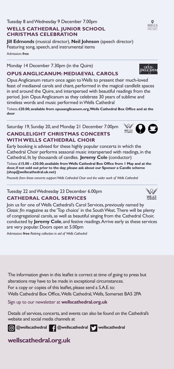## Tuesday 8 and Wednesday 9 December 7.00pm **WELLS CATHEDRAL JUNIOR SCHOOL CHRISTMAS CELEBRATION**

**Jill Edmonds** (musical director), **Neil Johnson** (speech director) Featuring song, speech, and instrumental items Admission: **free** 

Monday 14 December 7.30pm (in the Quire)

## **OPUS ANGLICANUM: MEDIAEVAL CAROLS**

Opus Anglicanum return once again to Wells to present their much-loved feast of mediaeval carols and chant, performed in the magical candlelit spaces in and around the Quire, and interspersed with beautiful readings from the period. Join Opus Anglicanum as they celebrate 30 years of sublime and timeless words and music performed in Wells Cathedral

Tickets: **£20.00; available from opusanglicanum.org, Wells Cathedral Box Office and at the door**

Saturday 19, Sunday 20, and Monday 21 December 7.00pm **CANDLELIGHT CHRISTMAS CONCERTS** 

## **WITH WELLS CATHEDRAL CHOIR**

Early booking is advised for these highly popular concerts in which the Cathedral Choir performs seasonal music interspersed with readings, in the Cathedral, lit by thousands of candles. **Jeremy Cole** (conductor)

Tickets: **£15.00 – £30.00; available from Wells Cathedral Box Office from 1 May and at the door, if not sold out prior to the day; please ask about our Sponsor a Candle scheme (shop@wellscathedral.uk.net)**

*Proceeds from these concerts supportWells Cathedral Choir and the wider work of Wells Cathedral*

Tuesday 22 and Wednesday 23 December 6.00pm **CATHEDRAL CAROL SERVICES** 

Join us for one of Wells Cathedral's Carol Services, previously named by *Classic fm* magazine as the 'Top choice' in the South West. There will be plenty of congregational carols, as well as beautiful singing from the Cathedral Choir, conducted by **Jeremy Cole**, and festive readings. Arrive early as these services

are very popular. Doors open at 5.00pm

Admission: **free** *Retiring collection in aid of Wells Cathedral* 

The information given in this leaflet is correct at time of going to press but alterations may have to be made in exceptional circumstances. For a copy or copies of this leaflet, please send a S.A.E. to: Wells Cathedral Box Office,Wells Cathedral,Wells, Somerset BA5 2PA

Sign up to our newsletter at **wellscathedral.org.uk**

Details of services, concerts, and events can also be found on the Cathedral's website and social media channels at

**@wellscathedral 4 @wellscathedral Wellscathedral** 

**wellscathedral.org.uk** 



WEIS OO





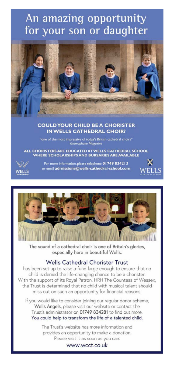## An amazing opportunity for your son or daughter



## **COULD YOUR CHILD BE A CHORISTER IN WELLS CATHEDRAL CHOIR?**

**Gramophone Magazine** 

ALL CHORISTERS ARE EDUCATED AT WELLS CATHEDRAL SCHOOL WHERE SCHOLARSHIPS AND BURSARIES ARE AVAILABLE



For more information, please telephone 01749 834213 or email admissions@wells-cathedral-school.com





The sound of a cathedral choir is one of Britain's glories, especially here in beautiful Wells.

## Wells Cathedral Chorister Trust

has been set up to raise a fund large enough to ensure that no child is denied the life-changing chance to be a chorister. With the support of its Royal Patron, HRH The Countess of Wessex, the Trust is determined that no child with musical talent should miss out on such an opportunity for financial reasons.

If you would like to consider joining our regular donor scheme, Wells Angels, please visit our website or contact the Trust's administrator on 01749 834281 to find out more. You could help to transform the life of a talented child.

> The Trust's website has more information and provides an opportunity to make a donation. Please visit it as soon as you can:

> > www.wcct.co.uk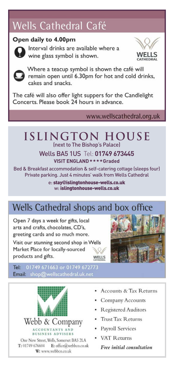## Wells Cathedral Café

## Open daily to 4.00pm



Interval drinks are available where a wine glass symbol is shown.





Where a teacup symbol is shown the café will remain open until 6.30pm for hot and cold drinks, cakes and snacks.

The café will also offer light suppers for the Candlelight Concerts. Please book 24 hours in advance.

## www.wellscathedral.org.uk

## **Islington HOUSE** (next to The Bishop's Palace)

Wells BA5 1US Tel: **01749 673445 VISIT ENGLAND** $\star \star \star \star$ **Graded** 

Bed & Breakfast accommodation & self-catering cottage (sleeps four) Private parking. Just 4 minutes' walk from Wells Cathedral

> e: stay**@**islingtonhouse-wells.co.uk w: islingtonhouse-wells.co.uk

## Wells Cathedral shops and box office

Open 7 days a week for gifts, local arts and crafts chocolates CD's greeting cards and so much more.

Visit our stunning second shop in Wells Market Place for locally-sourced products and gifts. WELLS



Tel: 01749 671663 or 01749 672773 Email: shop@wellscathedral.uk.net



- Accounts & Tax Returns
- Company Accounts
- · Registered Auditors
- Trust Tax Returns
- · Pavroll Services
- VAT Returns

Free initial consultation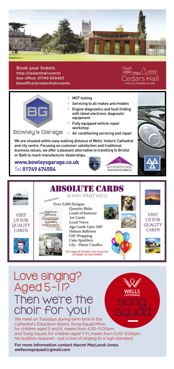

**Book your tickets** http://cedarshall.events box office: 01749 834483 boxoffice@cedarshall.events



- **>** MOT testing
- **>** Servicing to all makes and models
- **>** Engine diagnostics and fault finding with latest electronic diagnostic equipment
- **>** Fully equipped vehicle repair workshop

### Bowley's Garage

**>** Air conditioning servicing and repair

APPROVED CODE **TRADINGSTANDARDS.UK** 

We are situated within easy walking distance of Wells' historic Cathedral and city centre. Focusing on customer satisfaction and traditional business values, we offer a pleasant alternative to travelling to Bristol or Bath to reach manufacturer dealerships.

www.bowleysgarage.co.uk Tel 01749 674554



## Love singing? Aged 5-11? Then we're the choir for you !

We meet on Tuesdays during term-time in the Cathedral's Education Room. Song Squad Minis, for children aged 5 and 6, meets from 4.30–5.00pm, and Song Squad, for children aged 7–11, meets from 5.00–6.00pm. No audition required – just a love of singing to a high standard

**For more information contact Naomi MacLeod-Jones wellssongsquad@gmail.com**





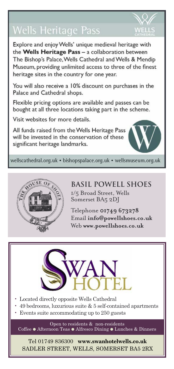## **Wells Heritage Pass**

Explore and enjoy Wells' unique medieval heritage with the Wells Heritage Pass - a collaboration between The Bishop's Palace, Wells Cathedral and Wells & Mendip Museum, providing unlimited access to three of the finest heritage sites in the country for one year.

You will also receive a 10% discount on purchases in the Palace and Cathedral shops.

Flexible pricing options are available and passes can be bought at all three locations taking part in the scheme.

Visit websites for more details.

All funds raised from the Wells Heritage Pass will be invested in the conservation of these significant heritage landmarks.



wellscathedral.org.uk · bishopspalace.org.uk · wellsmuseum.org.uk



**BASIL POWELL SHOES** 1/5 Broad Street, Wells Somerset BA5 2DJ

Telephone **01749 673278** Email **info@powellshoes.co.uk** Web **www.powellshoes.co.uk**



- Located directly opposite Wells Cathedral
- 49 bedrooms, luxurious suite  $& 5$  self-contained apartments
- Events suite accommodating up to 250 guests

Open to residents & non-residents Coffee **●** Afternoon Teas **●** Alfresco Dining **●** Lunches & Dinners

Tel 01749 836300 **www.swanhotelwells.co.uk** SADLER STREET, WELLS, SOMERSET BA5 2RX

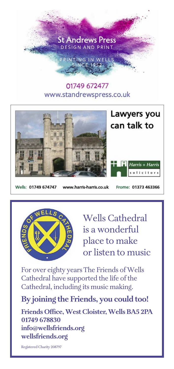

## 01749 672477 www.standrewspress.co.uk



Wells: 01749 674747

www.harris-harris.co.uk

Frome: 01373 463366



Wells Cathedral is a wonderful place to make or listen to music

For over eighty years The Friends of Wells Cathedral have supported the life of the Cathedral, including its music making.

## **By joining the Friends, you could too!**

**Friends Office, West Cloister, Wells BA5 2PA 01749 678830 info@wellsfriends.org wellsfriends.org** 

Registered Charity 208797